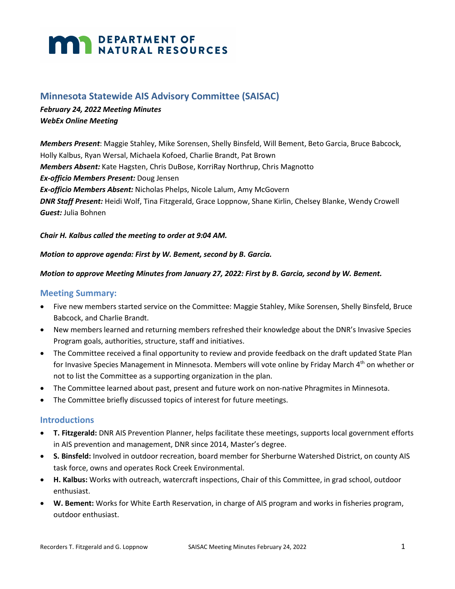# **MAR DEPARTMENT OF NATURAL RESOURCES**

# **Minnesota Statewide AIS Advisory Committee (SAISAC)**

# *February 24, 2022 Meeting Minutes WebEx Online Meeting*

*Members Present*: Maggie Stahley, Mike Sorensen, Shelly Binsfeld, Will Bement, Beto Garcia, Bruce Babcock, Holly Kalbus, Ryan Wersal, Michaela Kofoed, Charlie Brandt, Pat Brown *Members Absent:* Kate Hagsten, Chris DuBose, KorriRay Northrup, Chris Magnotto *Ex-officio Members Present:* Doug Jensen *Ex-officio Members Absent:* Nicholas Phelps, Nicole Lalum, Amy McGovern *DNR Staff Present:* Heidi Wolf, Tina Fitzgerald, Grace Loppnow, Shane Kirlin, Chelsey Blanke, Wendy Crowell *Guest:* Julia Bohnen

#### *Chair H. Kalbus called the meeting to order at 9:04 AM.*

#### *Motion to approve agenda: First by W. Bement, second by B. Garcia.*

#### *Motion to approve Meeting Minutes from January 27, 2022: First by B. Garcia, second by W. Bement.*

### **Meeting Summary:**

- Five new members started service on the Committee: Maggie Stahley, Mike Sorensen, Shelly Binsfeld, Bruce Babcock, and Charlie Brandt.
- New members learned and returning members refreshed their knowledge about the DNR's Invasive Species Program goals, authorities, structure, staff and initiatives.
- The Committee received a final opportunity to review and provide feedback on the draft updated State Plan for Invasive Species Management in Minnesota. Members will vote online by Friday March 4<sup>th</sup> on whether or not to list the Committee as a supporting organization in the plan.
- The Committee learned about past, present and future work on non-native Phragmites in Minnesota.
- The Committee briefly discussed topics of interest for future meetings.

## **Introductions**

- **T. Fitzgerald:** DNR AIS Prevention Planner, helps facilitate these meetings, supports local government efforts in AIS prevention and management, DNR since 2014, Master's degree.
- **S. Binsfeld:** Involved in outdoor recreation, board member for Sherburne Watershed District, on county AIS task force, owns and operates Rock Creek Environmental.
- **H. Kalbus:** Works with outreach, watercraft inspections, Chair of this Committee, in grad school, outdoor enthusiast.
- **W. Bement:** Works for White Earth Reservation, in charge of AIS program and works in fisheries program, outdoor enthusiast.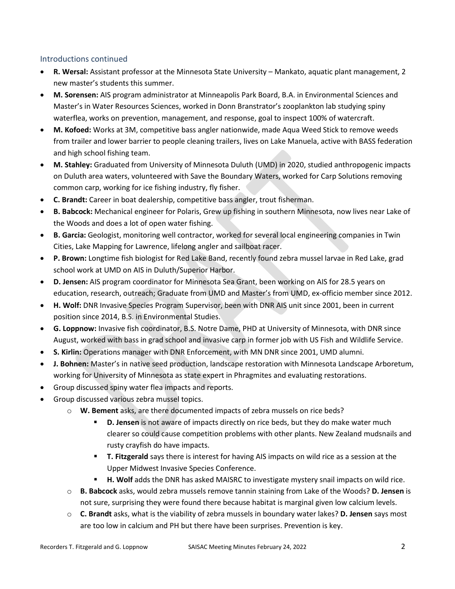## Introductions continued

- **R. Wersal:** Assistant professor at the Minnesota State University Mankato, aquatic plant management, 2 new master's students this summer.
- **M. Sorensen:** AIS program administrator at Minneapolis Park Board, B.A. in Environmental Sciences and Master's in Water Resources Sciences, worked in Donn Branstrator's zooplankton lab studying spiny waterflea, works on prevention, management, and response, goal to inspect 100% of watercraft.
- **M. Kofoed:** Works at 3M, competitive bass angler nationwide, made Aqua Weed Stick to remove weeds from trailer and lower barrier to people cleaning trailers, lives on Lake Manuela, active with BASS federation and high school fishing team.
- **M. Stahley:** Graduated from University of Minnesota Duluth (UMD) in 2020, studied anthropogenic impacts on Duluth area waters, volunteered with Save the Boundary Waters, worked for Carp Solutions removing common carp, working for ice fishing industry, fly fisher.
- **C. Brandt:** Career in boat dealership, competitive bass angler, trout fisherman.
- **B. Babcock:** Mechanical engineer for Polaris, Grew up fishing in southern Minnesota, now lives near Lake of the Woods and does a lot of open water fishing.
- **B. Garcia:** Geologist, monitoring well contractor, worked for several local engineering companies in Twin Cities, Lake Mapping for Lawrence, lifelong angler and sailboat racer.
- **P. Brown:** Longtime fish biologist for Red Lake Band, recently found zebra mussel larvae in Red Lake, grad school work at UMD on AIS in Duluth/Superior Harbor.
- **D. Jensen:** AIS program coordinator for Minnesota Sea Grant, been working on AIS for 28.5 years on education, research, outreach; Graduate from UMD and Master's from UMD, ex-officio member since 2012.
- **H. Wolf:** DNR Invasive Species Program Supervisor, been with DNR AIS unit since 2001, been in current position since 2014, B.S. in Environmental Studies.
- **G. Loppnow:** Invasive fish coordinator, B.S. Notre Dame, PHD at University of Minnesota, with DNR since August, worked with bass in grad school and invasive carp in former job with US Fish and Wildlife Service.
- **S. Kirlin:** Operations manager with DNR Enforcement, with MN DNR since 2001, UMD alumni.
- **J. Bohnen:** Master's in native seed production, landscape restoration with Minnesota Landscape Arboretum, working for University of Minnesota as state expert in Phragmites and evaluating restorations.
- Group discussed spiny water flea impacts and reports.
- Group discussed various zebra mussel topics.
	- o **W. Bement** asks, are there documented impacts of zebra mussels on rice beds?
		- **D. Jensen** is not aware of impacts directly on rice beds, but they do make water much clearer so could cause competition problems with other plants. New Zealand mudsnails and rusty crayfish do have impacts.
		- **T. Fitzgerald** says there is interest for having AIS impacts on wild rice as a session at the Upper Midwest Invasive Species Conference.
		- **H. Wolf** adds the DNR has asked MAISRC to investigate mystery snail impacts on wild rice.
	- o **B. Babcock** asks, would zebra mussels remove tannin staining from Lake of the Woods? **D. Jensen** is not sure, surprising they were found there because habitat is marginal given low calcium levels.
	- o **C. Brandt** asks, what is the viability of zebra mussels in boundary water lakes? **D. Jensen** says most are too low in calcium and PH but there have been surprises. Prevention is key.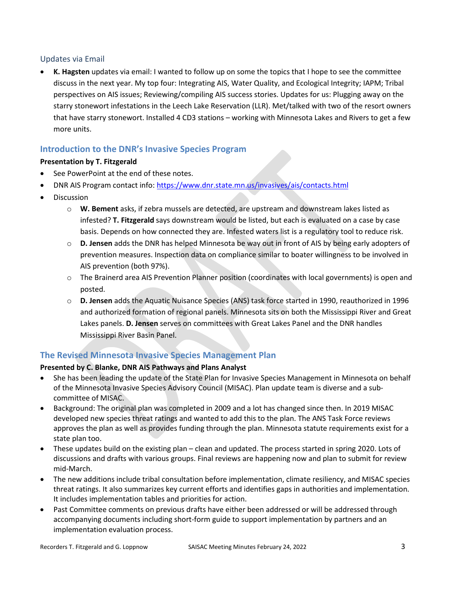## Updates via Email

• **K. Hagsten** updates via email: I wanted to follow up on some the topics that I hope to see the committee discuss in the next year. My top four: Integrating AIS, Water Quality, and Ecological Integrity; IAPM; Tribal perspectives on AIS issues; Reviewing/compiling AIS success stories. Updates for us: Plugging away on the starry stonewort infestations in the Leech Lake Reservation (LLR). Met/talked with two of the resort owners that have starry stonewort. Installed 4 CD3 stations – working with Minnesota Lakes and Rivers to get a few more units.

# **Introduction to the DNR's Invasive Species Program**

## **Presentation by T. Fitzgerald**

- See PowerPoint at the end of these notes.
- DNR AIS Program contact info:<https://www.dnr.state.mn.us/invasives/ais/contacts.html>
- Discussion
	- o **W. Bement** asks, if zebra mussels are detected, are upstream and downstream lakes listed as infested? **T. Fitzgerald** says downstream would be listed, but each is evaluated on a case by case basis. Depends on how connected they are. Infested waters list is a regulatory tool to reduce risk.
	- o **D. Jensen** adds the DNR has helped Minnesota be way out in front of AIS by being early adopters of prevention measures. Inspection data on compliance similar to boater willingness to be involved in AIS prevention (both 97%).
	- o The Brainerd area AIS Prevention Planner position (coordinates with local governments) is open and posted.
	- o **D. Jensen** adds the Aquatic Nuisance Species (ANS) task force started in 1990, reauthorized in 1996 and authorized formation of regional panels. Minnesota sits on both the Mississippi River and Great Lakes panels. **D. Jensen** serves on committees with Great Lakes Panel and the DNR handles Mississippi River Basin Panel.

# **The Revised Minnesota Invasive Species Management Plan**

## **Presented by C. Blanke, DNR AIS Pathways and Plans Analyst**

- She has been leading the update of the State Plan for Invasive Species Management in Minnesota on behalf of the Minnesota Invasive Species Advisory Council (MISAC). Plan update team is diverse and a subcommittee of MISAC.
- Background: The original plan was completed in 2009 and a lot has changed since then. In 2019 MISAC developed new species threat ratings and wanted to add this to the plan. The ANS Task Force reviews approves the plan as well as provides funding through the plan. Minnesota statute requirements exist for a state plan too.
- These updates build on the existing plan clean and updated. The process started in spring 2020. Lots of discussions and drafts with various groups. Final reviews are happening now and plan to submit for review mid-March.
- The new additions include tribal consultation before implementation, climate resiliency, and MISAC species threat ratings. It also summarizes key current efforts and identifies gaps in authorities and implementation. It includes implementation tables and priorities for action.
- Past Committee comments on previous drafts have either been addressed or will be addressed through accompanying documents including short-form guide to support implementation by partners and an implementation evaluation process.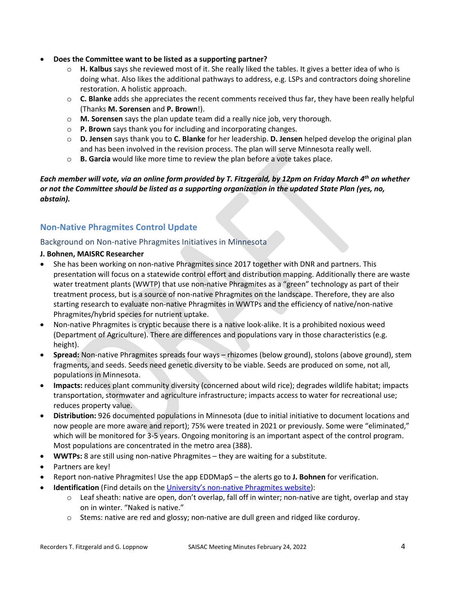- **Does the Committee want to be listed as a supporting partner?**
	- o **H. Kalbus** says she reviewed most of it. She really liked the tables. It gives a better idea of who is doing what. Also likes the additional pathways to address, e.g. LSPs and contractors doing shoreline restoration. A holistic approach.
	- o **C. Blanke** adds she appreciates the recent comments received thus far, they have been really helpful (Thanks **M. Sorensen** and **P. Brown**!).
	- o **M. Sorensen** says the plan update team did a really nice job, very thorough.
	- o **P. Brown** says thank you for including and incorporating changes.
	- o **D. Jensen** says thank you to **C. Blanke** for her leadership. **D. Jensen** helped develop the original plan and has been involved in the revision process. The plan will serve Minnesota really well.
	- o **B. Garcia** would like more time to review the plan before a vote takes place.

## *Each member will vote, via an online form provided by T. Fitzgerald, by 12pm on Friday March 4th on whether or not the Committee should be listed as a supporting organization in the updated State Plan (yes, no, abstain).*

# **Non-Native Phragmites Control Update**

## Background on Non-native Phragmites Initiatives in Minnesota

#### **J. Bohnen, MAISRC Researcher**

- She has been working on non-native Phragmites since 2017 together with DNR and partners. This presentation will focus on a statewide control effort and distribution mapping. Additionally there are waste water treatment plants (WWTP) that use non-native Phragmites as a "green" technology as part of their treatment process, but is a source of non-native Phragmites on the landscape. Therefore, they are also starting research to evaluate non-native Phragmites in WWTPs and the efficiency of native/non-native Phragmites/hybrid species for nutrient uptake.
- Non-native Phragmites is cryptic because there is a native look-alike. It is a prohibited noxious weed (Department of Agriculture). There are differences and populations vary in those characteristics (e.g. height).
- **Spread:** Non-native Phragmites spreads four ways rhizomes (below ground), stolons (above ground), stem fragments, and seeds. Seeds need genetic diversity to be viable. Seeds are produced on some, not all, populations in Minnesota.
- **Impacts:** reduces plant community diversity (concerned about wild rice); degrades wildlife habitat; impacts transportation, stormwater and agriculture infrastructure; impacts access to water for recreational use; reduces property value.
- **Distribution:** 926 documented populations in Minnesota (due to initial initiative to document locations and now people are more aware and report); 75% were treated in 2021 or previously. Some were "eliminated," which will be monitored for 3-5 years. Ongoing monitoring is an important aspect of the control program. Most populations are concentrated in the metro area (388).
- **WWTPs:** 8 are still using non-native Phragmites they are waiting for a substitute.
- Partners are key!
- Report non-native Phragmites! Use the app EDDMapS the alerts go to **J. Bohnen** for verification.
- **Identification** (Find details on the [University's non-native Phragmites website\)](https://maisrc.umn.edu/phragmites-id):
	- o Leaf sheath: native are open, don't overlap, fall off in winter; non-native are tight, overlap and stay on in winter. "Naked is native."
	- $\circ$  Stems: native are red and glossy; non-native are dull green and ridged like corduroy.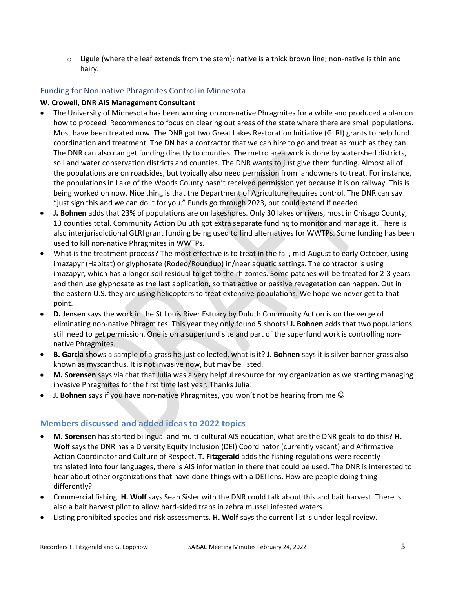$\circ$  Ligule (where the leaf extends from the stem): native is a thick brown line; non-native is thin and hairy.

## Funding for Non-native Phragmites Control in Minnesota

#### **W. Crowell, DNR AIS Management Consultant**

- The University of Minnesota has been working on non-native Phragmites for a while and produced a plan on how to proceed. Recommends to focus on clearing out areas of the state where there are small populations. Most have been treated now. The DNR got two Great Lakes Restoration Initiative (GLRI) grants to help fund coordination and treatment. The DN has a contractor that we can hire to go and treat as much as they can. The DNR can also can get funding directly to counties. The metro area work is done by watershed districts, soil and water conservation districts and counties. The DNR wants to just give them funding. Almost all of the populations are on roadsides, but typically also need permission from landowners to treat. For instance, the populations in Lake of the Woods County hasn't received permission yet because it is on railway. This is being worked on now. Nice thing is that the Department of Agriculture requires control. The DNR can say "just sign this and we can do it for you." Funds go through 2023, but could extend if needed.
- **J. Bohnen** adds that 23% of populations are on lakeshores. Only 30 lakes or rivers, most in Chisago County, 13 counties total. Community Action Duluth got extra separate funding to monitor and manage it. There is also interjurisdictional GLRI grant funding being used to find alternatives for WWTPs. Some funding has been used to kill non-native Phragmites in WWTPs.
- What is the treatment process? The most effective is to treat in the fall, mid-August to early October, using imazapyr (Habitat) or glyphosate (Rodeo/Roundup) in/near aquatic settings. The contractor is using imazapyr, which has a longer soil residual to get to the rhizomes. Some patches will be treated for 2-3 years and then use glyphosate as the last application, so that active or passive revegetation can happen. Out in the eastern U.S. they are using helicopters to treat extensive populations. We hope we never get to that point.
- **D. Jensen** says the work in the St Louis River Estuary by Duluth Community Action is on the verge of eliminating non-native Phragmites. This year they only found 5 shoots! **J. Bohnen** adds that two populations still need to get permission. One is on a superfund site and part of the superfund work is controlling nonnative Phragmites.
- **B. Garcia** shows a sample of a grass he just collected, what is it? **J. Bohnen** says it is silver banner grass also known as myscanthus. It is not invasive now, but may be listed.
- **M. Sorensen** says via chat that Julia was a very helpful resource for my organization as we starting managing invasive Phragmites for the first time last year. Thanks Julia!
- **J. Bohnen** says if you have non-native Phragmites, you won't not be hearing from me  $\odot$

# **Members discussed and added ideas to 2022 topics**

- **M. Sorensen** has started bilingual and multi-cultural AIS education, what are the DNR goals to do this? **H. Wolf** says the DNR has a Diversity Equity Inclusion (DEI) Coordinator (currently vacant) and Affirmative Action Coordinator and Culture of Respect. **T. Fitzgerald** adds the fishing regulations were recently translated into four languages, there is AIS information in there that could be used. The DNR is interested to hear about other organizations that have done things with a DEI lens. How are people doing thing differently?
- Commercial fishing. **H. Wolf** says Sean Sisler with the DNR could talk about this and bait harvest. There is also a bait harvest pilot to allow hard-sided traps in zebra mussel infested waters.
- Listing prohibited species and risk assessments. **H. Wolf** says the current list is under legal review.